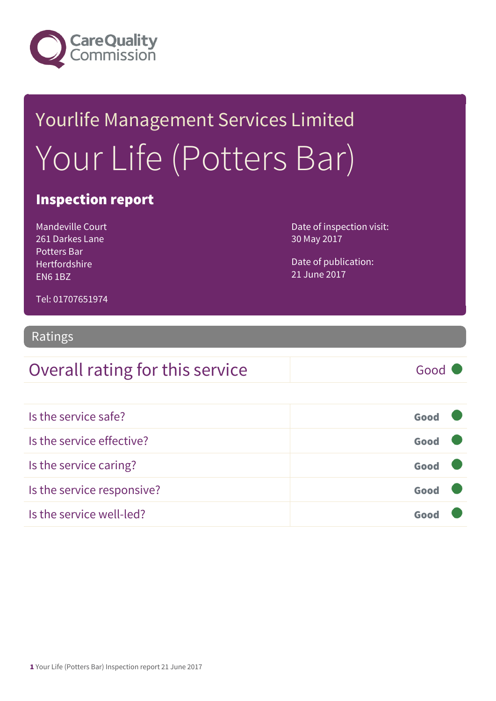

# Yourlife Management Services Limited Your Life (Potters Bar)

#### Inspection report

Mandeville Court 261 Darkes Lane Potters Bar Hertfordshire EN6 1BZ

Date of inspection visit: 30 May 2017

Date of publication: 21 June 2017

Tel: 01707651974

#### Ratings

### Overall rating for this service Good

| Is the service safe?       | Good |  |
|----------------------------|------|--|
| Is the service effective?  | Good |  |
| Is the service caring?     | Good |  |
| Is the service responsive? | Good |  |
| Is the service well-led?   |      |  |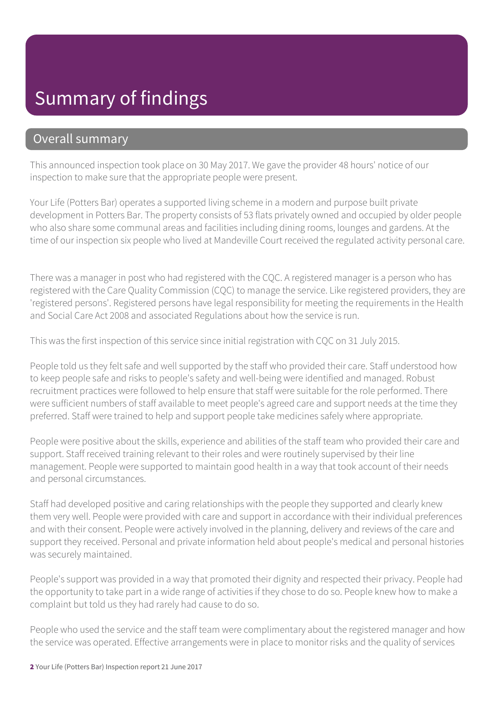#### Summary of findings

#### Overall summary

This announced inspection took place on 30 May 2017. We gave the provider 48 hours' notice of our inspection to make sure that the appropriate people were present.

Your Life (Potters Bar) operates a supported living scheme in a modern and purpose built private development in Potters Bar. The property consists of 53 flats privately owned and occupied by older people who also share some communal areas and facilities including dining rooms, lounges and gardens. At the time of our inspection six people who lived at Mandeville Court received the regulated activity personal care.

There was a manager in post who had registered with the CQC. A registered manager is a person who has registered with the Care Quality Commission (CQC) to manage the service. Like registered providers, they are 'registered persons'. Registered persons have legal responsibility for meeting the requirements in the Health and Social Care Act 2008 and associated Regulations about how the service is run.

This was the first inspection of this service since initial registration with CQC on 31 July 2015.

People told us they felt safe and well supported by the staff who provided their care. Staff understood how to keep people safe and risks to people's safety and well-being were identified and managed. Robust recruitment practices were followed to help ensure that staff were suitable for the role performed. There were sufficient numbers of staff available to meet people's agreed care and support needs at the time they preferred. Staff were trained to help and support people take medicines safely where appropriate.

People were positive about the skills, experience and abilities of the staff team who provided their care and support. Staff received training relevant to their roles and were routinely supervised by their line management. People were supported to maintain good health in a way that took account of their needs and personal circumstances.

Staff had developed positive and caring relationships with the people they supported and clearly knew them very well. People were provided with care and support in accordance with their individual preferences and with their consent. People were actively involved in the planning, delivery and reviews of the care and support they received. Personal and private information held about people's medical and personal histories was securely maintained.

People's support was provided in a way that promoted their dignity and respected their privacy. People had the opportunity to take part in a wide range of activities if they chose to do so. People knew how to make a complaint but told us they had rarely had cause to do so.

People who used the service and the staff team were complimentary about the registered manager and how the service was operated. Effective arrangements were in place to monitor risks and the quality of services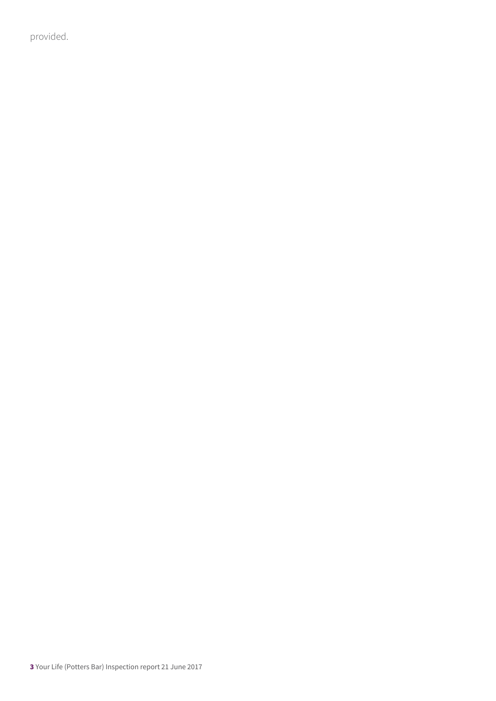provided.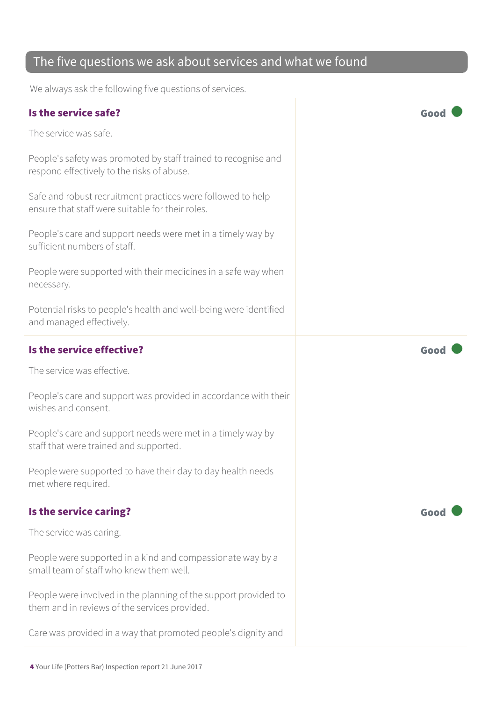#### The five questions we ask about services and what we found

We always ask the following five questions of services.

| Is the service safe?                                                                                             | Good |
|------------------------------------------------------------------------------------------------------------------|------|
| The service was safe.                                                                                            |      |
| People's safety was promoted by staff trained to recognise and<br>respond effectively to the risks of abuse.     |      |
| Safe and robust recruitment practices were followed to help<br>ensure that staff were suitable for their roles.  |      |
| People's care and support needs were met in a timely way by<br>sufficient numbers of staff.                      |      |
| People were supported with their medicines in a safe way when<br>necessary.                                      |      |
| Potential risks to people's health and well-being were identified<br>and managed effectively.                    |      |
| Is the service effective?                                                                                        | Good |
| The service was effective.                                                                                       |      |
| People's care and support was provided in accordance with their<br>wishes and consent.                           |      |
| People's care and support needs were met in a timely way by<br>staff that were trained and supported.            |      |
| People were supported to have their day to day health needs<br>met where required.                               |      |
| Is the service caring?                                                                                           | Good |
| The service was caring.                                                                                          |      |
| People were supported in a kind and compassionate way by a<br>small team of staff who knew them well.            |      |
| People were involved in the planning of the support provided to<br>them and in reviews of the services provided. |      |
| Care was provided in a way that promoted people's dignity and                                                    |      |
|                                                                                                                  |      |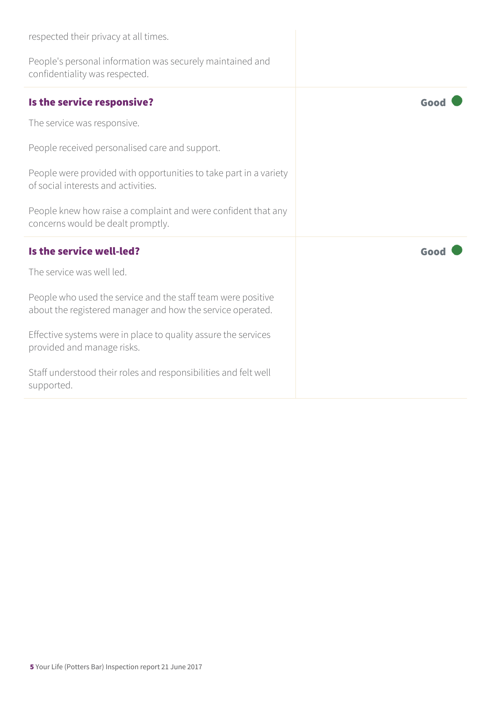| respected their privacy at all times.                                                                                      |      |
|----------------------------------------------------------------------------------------------------------------------------|------|
| People's personal information was securely maintained and<br>confidentiality was respected.                                |      |
| Is the service responsive?                                                                                                 | Good |
| The service was responsive.                                                                                                |      |
| People received personalised care and support.                                                                             |      |
| People were provided with opportunities to take part in a variety<br>of social interests and activities.                   |      |
| People knew how raise a complaint and were confident that any<br>concerns would be dealt promptly.                         |      |
| Is the service well-led?                                                                                                   | Good |
| The service was well led.                                                                                                  |      |
| People who used the service and the staff team were positive<br>about the registered manager and how the service operated. |      |
| Effective systems were in place to quality assure the services<br>provided and manage risks.                               |      |
| Staff understood their roles and responsibilities and felt well<br>supported.                                              |      |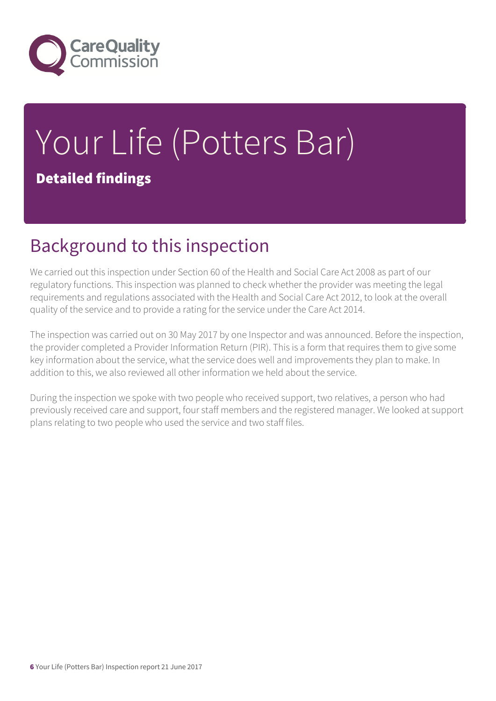

## Your Life (Potters Bar) Detailed findings

#### Background to this inspection

We carried out this inspection under Section 60 of the Health and Social Care Act 2008 as part of our regulatory functions. This inspection was planned to check whether the provider was meeting the legal requirements and regulations associated with the Health and Social Care Act 2012, to look at the overall quality of the service and to provide a rating for the service under the Care Act 2014.

The inspection was carried out on 30 May 2017 by one Inspector and was announced. Before the inspection, the provider completed a Provider Information Return (PIR). This is a form that requires them to give some key information about the service, what the service does well and improvements they plan to make. In addition to this, we also reviewed all other information we held about the service.

During the inspection we spoke with two people who received support, two relatives, a person who had previously received care and support, four staff members and the registered manager. We looked at support plans relating to two people who used the service and two staff files.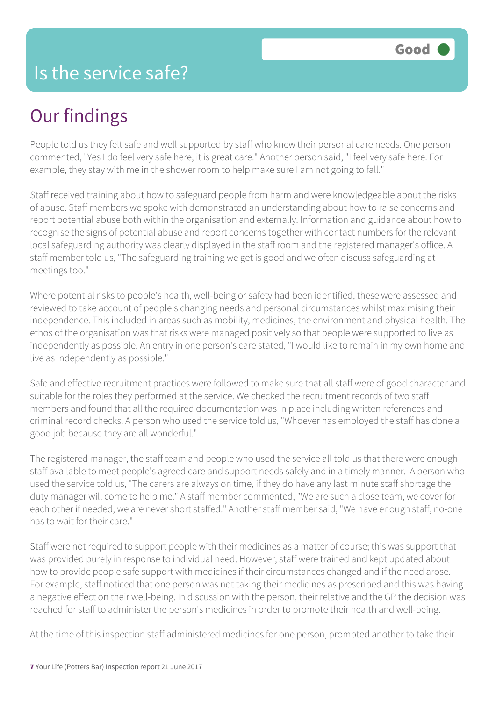### Our findings

People told us they felt safe and well supported by staff who knew their personal care needs. One person commented, "Yes I do feel very safe here, it is great care." Another person said, "I feel very safe here. For example, they stay with me in the shower room to help make sure I am not going to fall."

Staff received training about how to safeguard people from harm and were knowledgeable about the risks of abuse. Staff members we spoke with demonstrated an understanding about how to raise concerns and report potential abuse both within the organisation and externally. Information and guidance about how to recognise the signs of potential abuse and report concerns together with contact numbers for the relevant local safeguarding authority was clearly displayed in the staff room and the registered manager's office. A staff member told us, "The safeguarding training we get is good and we often discuss safeguarding at meetings too."

Where potential risks to people's health, well-being or safety had been identified, these were assessed and reviewed to take account of people's changing needs and personal circumstances whilst maximising their independence. This included in areas such as mobility, medicines, the environment and physical health. The ethos of the organisation was that risks were managed positively so that people were supported to live as independently as possible. An entry in one person's care stated, "I would like to remain in my own home and live as independently as possible."

Safe and effective recruitment practices were followed to make sure that all staff were of good character and suitable for the roles they performed at the service. We checked the recruitment records of two staff members and found that all the required documentation was in place including written references and criminal record checks. A person who used the service told us, "Whoever has employed the staff has done a good job because they are all wonderful."

The registered manager, the staff team and people who used the service all told us that there were enough staff available to meet people's agreed care and support needs safely and in a timely manner. A person who used the service told us, "The carers are always on time, if they do have any last minute staff shortage the duty manager will come to help me." A staff member commented, "We are such a close team, we cover for each other if needed, we are never short staffed." Another staff member said, "We have enough staff, no-one has to wait for their care."

Staff were not required to support people with their medicines as a matter of course; this was support that was provided purely in response to individual need. However, staff were trained and kept updated about how to provide people safe support with medicines if their circumstances changed and if the need arose. For example, staff noticed that one person was not taking their medicines as prescribed and this was having a negative effect on their well-being. In discussion with the person, their relative and the GP the decision was reached for staff to administer the person's medicines in order to promote their health and well-being.

At the time of this inspection staff administered medicines for one person, prompted another to take their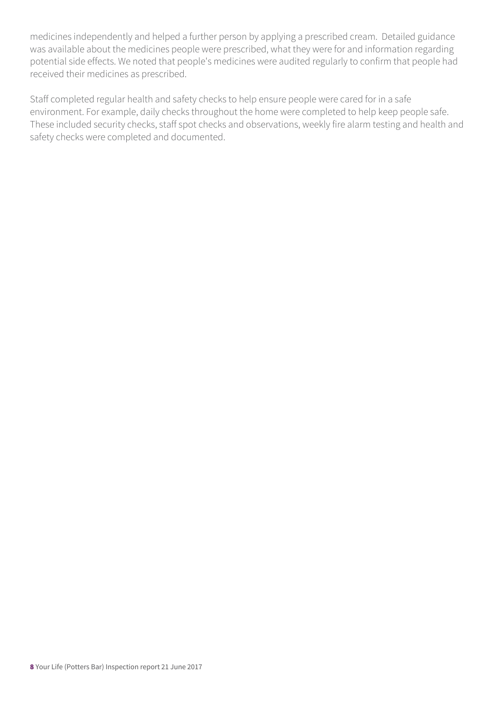medicines independently and helped a further person by applying a prescribed cream. Detailed guidance was available about the medicines people were prescribed, what they were for and information regarding potential side effects. We noted that people's medicines were audited regularly to confirm that people had received their medicines as prescribed.

Staff completed regular health and safety checks to help ensure people were cared for in a safe environment. For example, daily checks throughout the home were completed to help keep people safe. These included security checks, staff spot checks and observations, weekly fire alarm testing and health and safety checks were completed and documented.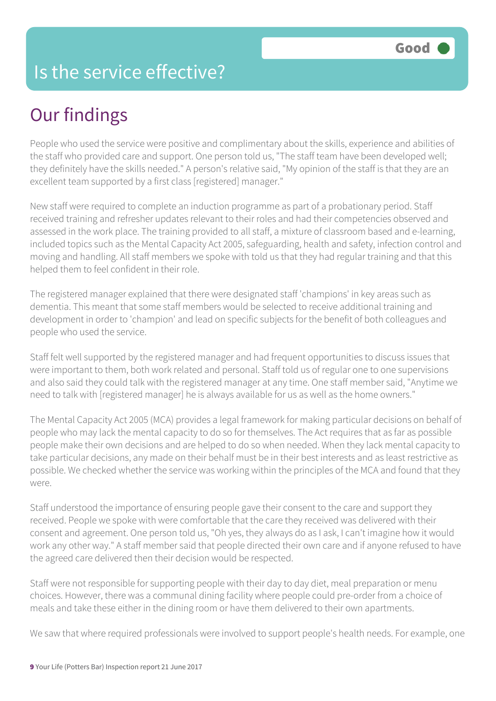#### Is the service effective?

### Our findings

People who used the service were positive and complimentary about the skills, experience and abilities of the staff who provided care and support. One person told us, "The staff team have been developed well; they definitely have the skills needed." A person's relative said, "My opinion of the staff is that they are an excellent team supported by a first class [registered] manager."

New staff were required to complete an induction programme as part of a probationary period. Staff received training and refresher updates relevant to their roles and had their competencies observed and assessed in the work place. The training provided to all staff, a mixture of classroom based and e-learning, included topics such as the Mental Capacity Act 2005, safeguarding, health and safety, infection control and moving and handling. All staff members we spoke with told us that they had regular training and that this helped them to feel confident in their role.

The registered manager explained that there were designated staff 'champions' in key areas such as dementia. This meant that some staff members would be selected to receive additional training and development in order to 'champion' and lead on specific subjects for the benefit of both colleagues and people who used the service.

Staff felt well supported by the registered manager and had frequent opportunities to discuss issues that were important to them, both work related and personal. Staff told us of regular one to one supervisions and also said they could talk with the registered manager at any time. One staff member said, "Anytime we need to talk with [registered manager] he is always available for us as well as the home owners."

The Mental Capacity Act 2005 (MCA) provides a legal framework for making particular decisions on behalf of people who may lack the mental capacity to do so for themselves. The Act requires that as far as possible people make their own decisions and are helped to do so when needed. When they lack mental capacity to take particular decisions, any made on their behalf must be in their best interests and as least restrictive as possible. We checked whether the service was working within the principles of the MCA and found that they were.

Staff understood the importance of ensuring people gave their consent to the care and support they received. People we spoke with were comfortable that the care they received was delivered with their consent and agreement. One person told us, "Oh yes, they always do as I ask, I can't imagine how it would work any other way." A staff member said that people directed their own care and if anyone refused to have the agreed care delivered then their decision would be respected.

Staff were not responsible for supporting people with their day to day diet, meal preparation or menu choices. However, there was a communal dining facility where people could pre-order from a choice of meals and take these either in the dining room or have them delivered to their own apartments.

We saw that where required professionals were involved to support people's health needs. For example, one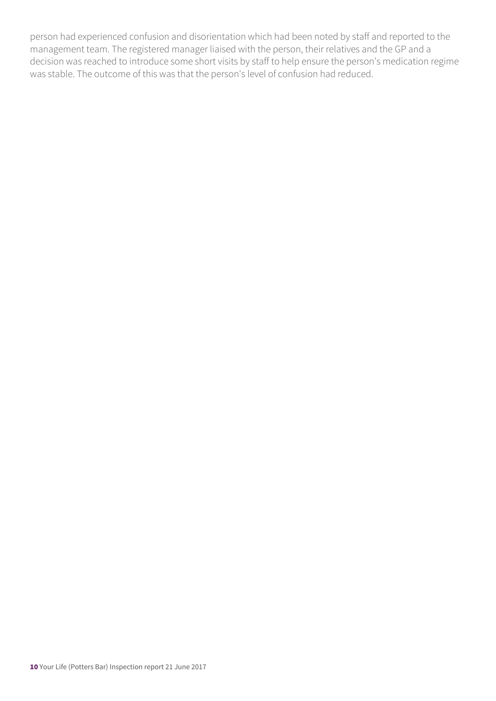person had experienced confusion and disorientation which had been noted by staff and reported to the management team. The registered manager liaised with the person, their relatives and the GP and a decision was reached to introduce some short visits by staff to help ensure the person's medication regime was stable. The outcome of this was that the person's level of confusion had reduced.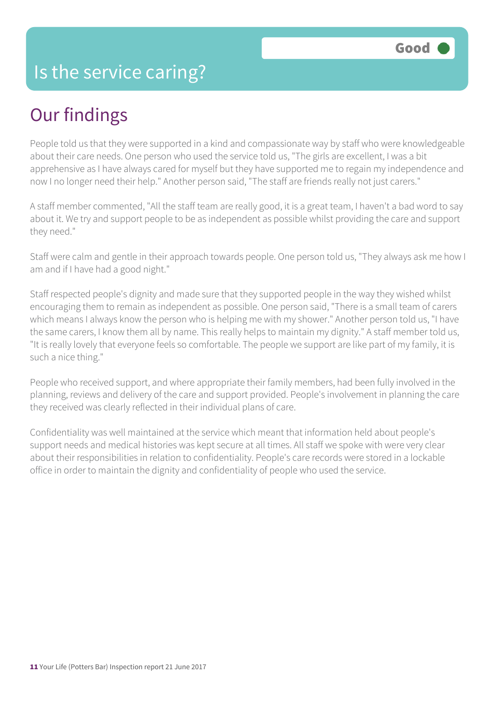### Our findings

People told us that they were supported in a kind and compassionate way by staff who were knowledgeable about their care needs. One person who used the service told us, "The girls are excellent, I was a bit apprehensive as I have always cared for myself but they have supported me to regain my independence and now I no longer need their help." Another person said, "The staff are friends really not just carers."

A staff member commented, "All the staff team are really good, it is a great team, I haven't a bad word to say about it. We try and support people to be as independent as possible whilst providing the care and support they need."

Staff were calm and gentle in their approach towards people. One person told us, "They always ask me how I am and if I have had a good night."

Staff respected people's dignity and made sure that they supported people in the way they wished whilst encouraging them to remain as independent as possible. One person said, "There is a small team of carers which means I always know the person who is helping me with my shower." Another person told us, "I have the same carers, I know them all by name. This really helps to maintain my dignity." A staff member told us, "It is really lovely that everyone feels so comfortable. The people we support are like part of my family, it is such a nice thing."

People who received support, and where appropriate their family members, had been fully involved in the planning, reviews and delivery of the care and support provided. People's involvement in planning the care they received was clearly reflected in their individual plans of care.

Confidentiality was well maintained at the service which meant that information held about people's support needs and medical histories was kept secure at all times. All staff we spoke with were very clear about their responsibilities in relation to confidentiality. People's care records were stored in a lockable office in order to maintain the dignity and confidentiality of people who used the service.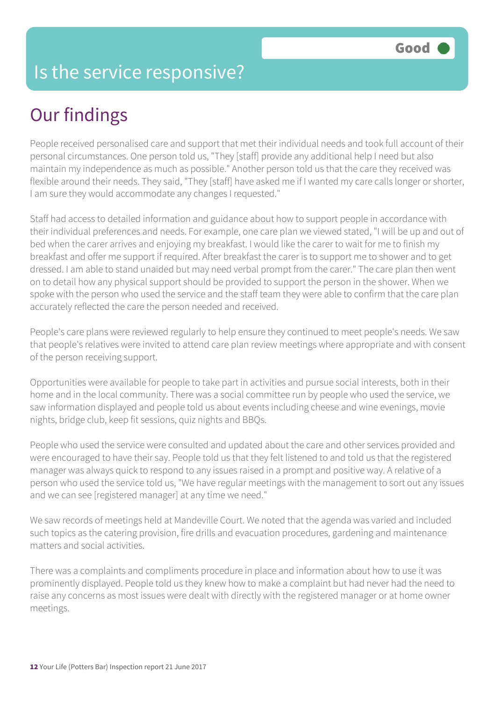#### Is the service responsive?

### Our findings

People received personalised care and support that met their individual needs and took full account of their personal circumstances. One person told us, "They [staff] provide any additional help I need but also maintain my independence as much as possible." Another person told us that the care they received was flexible around their needs. They said, "They [staff] have asked me if I wanted my care calls longer or shorter, I am sure they would accommodate any changes I requested."

Staff had access to detailed information and guidance about how to support people in accordance with their individual preferences and needs. For example, one care plan we viewed stated, "I will be up and out of bed when the carer arrives and enjoying my breakfast. I would like the carer to wait for me to finish my breakfast and offer me support if required. After breakfast the carer is to support me to shower and to get dressed. I am able to stand unaided but may need verbal prompt from the carer." The care plan then went on to detail how any physical support should be provided to support the person in the shower. When we spoke with the person who used the service and the staff team they were able to confirm that the care plan accurately reflected the care the person needed and received.

People's care plans were reviewed regularly to help ensure they continued to meet people's needs. We saw that people's relatives were invited to attend care plan review meetings where appropriate and with consent of the person receiving support.

Opportunities were available for people to take part in activities and pursue social interests, both in their home and in the local community. There was a social committee run by people who used the service, we saw information displayed and people told us about events including cheese and wine evenings, movie nights, bridge club, keep fit sessions, quiz nights and BBQs.

People who used the service were consulted and updated about the care and other services provided and were encouraged to have their say. People told us that they felt listened to and told us that the registered manager was always quick to respond to any issues raised in a prompt and positive way. A relative of a person who used the service told us, "We have regular meetings with the management to sort out any issues and we can see [registered manager] at any time we need."

We saw records of meetings held at Mandeville Court. We noted that the agenda was varied and included such topics as the catering provision, fire drills and evacuation procedures, gardening and maintenance matters and social activities.

There was a complaints and compliments procedure in place and information about how to use it was prominently displayed. People told us they knew how to make a complaint but had never had the need to raise any concerns as most issues were dealt with directly with the registered manager or at home owner meetings.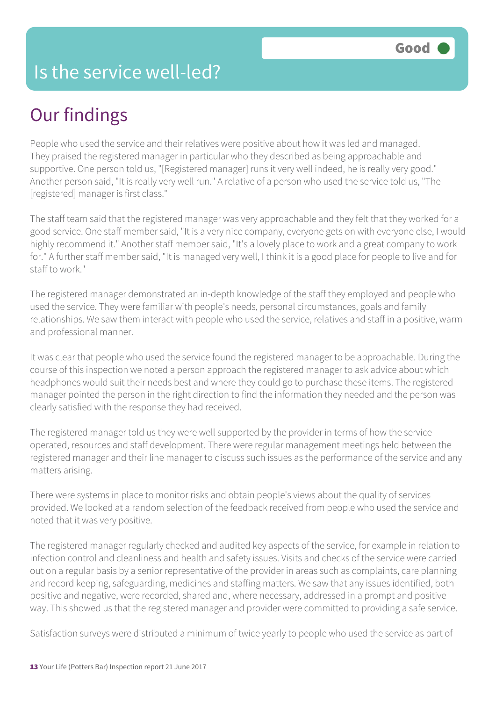#### Is the service well-led?

### Our findings

People who used the service and their relatives were positive about how it was led and managed. They praised the registered manager in particular who they described as being approachable and supportive. One person told us, "[Registered manager] runs it very well indeed, he is really very good." Another person said, "It is really very well run." A relative of a person who used the service told us, "The [registered] manager is first class."

The staff team said that the registered manager was very approachable and they felt that they worked for a good service. One staff member said, "It is a very nice company, everyone gets on with everyone else, I would highly recommend it." Another staff member said, "It's a lovely place to work and a great company to work for." A further staff member said, "It is managed very well, I think it is a good place for people to live and for staff to work."

The registered manager demonstrated an in-depth knowledge of the staff they employed and people who used the service. They were familiar with people's needs, personal circumstances, goals and family relationships. We saw them interact with people who used the service, relatives and staff in a positive, warm and professional manner.

It was clear that people who used the service found the registered manager to be approachable. During the course of this inspection we noted a person approach the registered manager to ask advice about which headphones would suit their needs best and where they could go to purchase these items. The registered manager pointed the person in the right direction to find the information they needed and the person was clearly satisfied with the response they had received.

The registered manager told us they were well supported by the provider in terms of how the service operated, resources and staff development. There were regular management meetings held between the registered manager and their line manager to discuss such issues as the performance of the service and any matters arising.

There were systems in place to monitor risks and obtain people's views about the quality of services provided. We looked at a random selection of the feedback received from people who used the service and noted that it was very positive.

The registered manager regularly checked and audited key aspects of the service, for example in relation to infection control and cleanliness and health and safety issues. Visits and checks of the service were carried out on a regular basis by a senior representative of the provider in areas such as complaints, care planning and record keeping, safeguarding, medicines and staffing matters. We saw that any issues identified, both positive and negative, were recorded, shared and, where necessary, addressed in a prompt and positive way. This showed us that the registered manager and provider were committed to providing a safe service.

Satisfaction surveys were distributed a minimum of twice yearly to people who used the service as part of